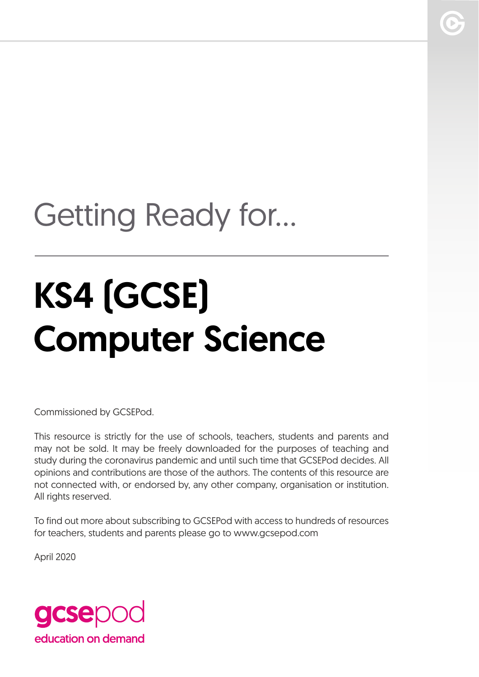## Getting Ready for...

# KS4 (GCSE) Computer Science

Commissioned by GCSEPod.

This resource is strictly for the use of schools, teachers, students and parents and may not be sold. It may be freely downloaded for the purposes of teaching and study during the coronavirus pandemic and until such time that GCSEPod decides. All opinions and contributions are those of the authors. The contents of this resource are not connected with, or endorsed by, any other company, organisation or institution. All rights reserved.

To find out more about subscribing to GCSEPod with access to hundreds of resources for teachers, students and parents please go to www.gcsepod.com

April 2020

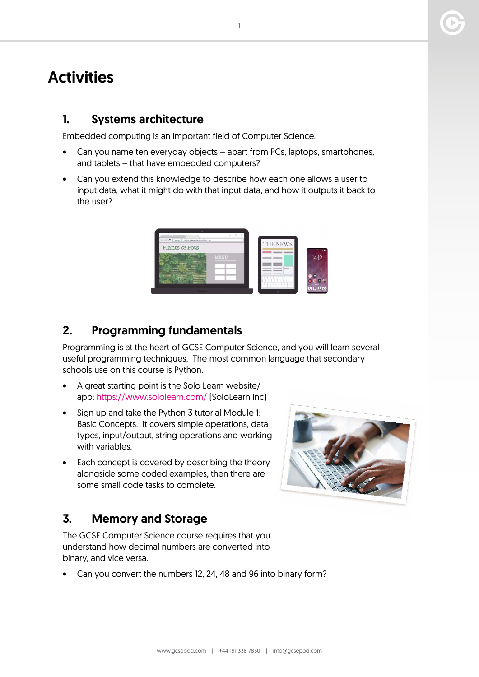### **Activities**

#### 1. Systems architecture

Embedded computing is an important field of Computer Science.

- Can you name ten everyday objects apart from PCs, laptops, smartphones, and tablets – that have embedded computers?
- Can you extend this knowledge to describe how each one allows a user to input data, what it might do with that input data, and how it outputs it back to the user?

|                                                           | ×           |                 |          |
|-----------------------------------------------------------|-------------|-----------------|----------|
| $\mathfrak{C}$<br>https://www.plantsandpots.com<br>Secure |             | <b>THE NEWS</b> |          |
| Plants & Pots                                             |             |                 |          |
|                                                           |             |                 |          |
|                                                           | <b>MENU</b> |                 | 14:12    |
|                                                           |             |                 |          |
|                                                           |             |                 |          |
|                                                           |             |                 |          |
|                                                           |             |                 |          |
|                                                           |             |                 |          |
|                                                           |             |                 | $C = 10$ |

#### 2. Programming fundamentals

Programming is at the heart of GCSE Computer Science, and you will learn several useful programming techniques. The most common language that secondary schools use on this course is Python.

- A great starting point is the Solo Learn website/ app:<https://www.sololearn.com/> (SoloLearn Inc)
- Sign up and take the Python 3 tutorial Module 1: Basic Concepts. It covers simple operations, data types, input/output, string operations and working with variables.
- Each concept is covered by describing the theory alongside some coded examples, then there are some small code tasks to complete.

#### 3. Memory and Storage

The GCSE Computer Science course requires that you understand how decimal numbers are converted into binary, and vice versa.

Can you convert the numbers 12, 24, 48 and 96 into binary form?

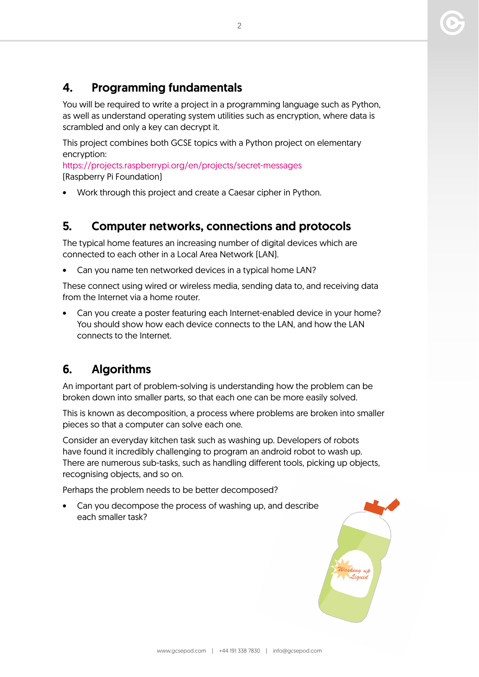#### 4. Programming fundamentals

You will be required to write a project in a programming language such as Python, as well as understand operating system utilities such as encryption, where data is scrambled and only a key can decrypt it.

This project combines both GCSE topics with a Python project on elementary encryption:

<https://projects.raspberrypi.org/en/projects/secret-messages> (Raspberry Pi Foundation)

• Work through this project and create a Caesar cipher in Python.

#### 5. Computer networks, connections and protocols

The typical home features an increasing number of digital devices which are connected to each other in a Local Area Network (LAN).

• Can you name ten networked devices in a typical home LAN?

These connect using wired or wireless media, sending data to, and receiving data from the Internet via a home router.

• Can you create a poster featuring each Internet-enabled device in your home? You should show how each device connects to the LAN, and how the LAN connects to the Internet.

#### 6. Algorithms

An important part of problem-solving is understanding how the problem can be broken down into smaller parts, so that each one can be more easily solved.

This is known as decomposition, a process where problems are broken into smaller pieces so that a computer can solve each one.

Consider an everyday kitchen task such as washing up. Developers of robots have found it incredibly challenging to program an android robot to wash up. There are numerous sub-tasks, such as handling different tools, picking up objects, recognising objects, and so on.

Perhaps the problem needs to be better decomposed?

• Can you decompose the process of washing up, and describe each smaller task?

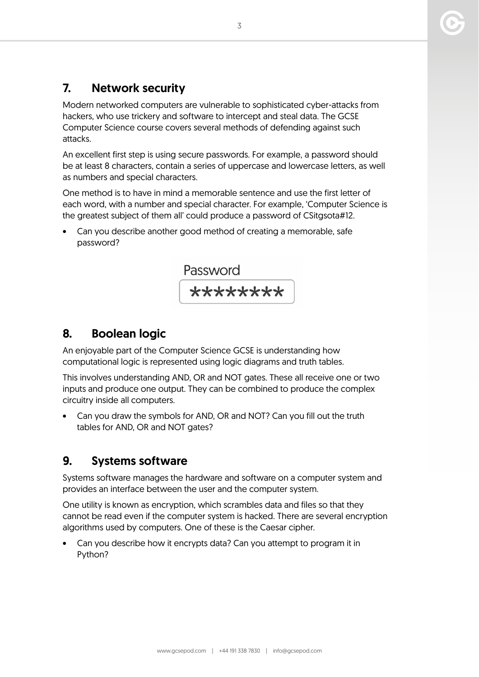#### 7. Network security

Modern networked computers are vulnerable to sophisticated cyber-attacks from hackers, who use trickery and software to intercept and steal data. The GCSE Computer Science course covers several methods of defending against such attacks.

An excellent first step is using secure passwords. For example, a password should be at least 8 characters, contain a series of uppercase and lowercase letters, as well as numbers and special characters.

One method is to have in mind a memorable sentence and use the first letter of each word, with a number and special character. For example, 'Computer Science is the greatest subject of them all' could produce a password of CSitgsota#12.

• Can you describe another good method of creating a memorable, safe password?



#### 8. Boolean logic

An enjoyable part of the Computer Science GCSE is understanding how computational logic is represented using logic diagrams and truth tables.

This involves understanding AND, OR and NOT gates. These all receive one or two inputs and produce one output. They can be combined to produce the complex circuitry inside all computers.

• Can you draw the symbols for AND, OR and NOT? Can you fill out the truth tables for AND, OR and NOT gates?

#### 9. Systems software

Systems software manages the hardware and software on a computer system and provides an interface between the user and the computer system.

One utility is known as encryption, which scrambles data and files so that they cannot be read even if the computer system is hacked. There are several encryption algorithms used by computers. One of these is the Caesar cipher.

• Can you describe how it encrypts data? Can you attempt to program it in Python?